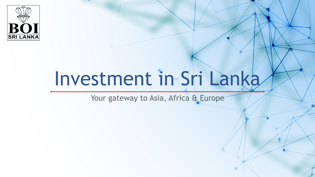

# Investment in Sri Lanka

Your gateway to Asia, Africa & Europe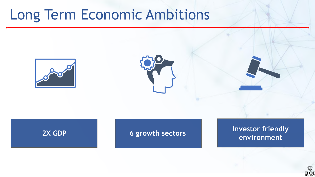### Long Term Economic Ambitions







**2X GDP 6 growth sectors Investor friendly environment** 

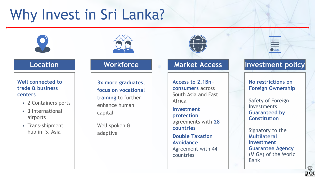## Why Invest in Sri Lanka?



**Well connected to trade & business centers** 

- 2 Containers ports
- 3 International airports
- Trans-shipment hub in S. Asia





**3x more graduates, focus on vocational training** to further enhance human capital

Well spoken & adaptive

**Access to 2.1Bn+ consumers** across South Asia and East Africa

**Investment protection**  agreements with **28 countries**

**Double Taxation Avoidance**  Agreement with 44 countries

## $\frac{1}{2}$

### **Location Morkforce Market Access Investment policy**

**No restrictions on Foreign Ownership**

Safety of Foreign Investments **Guaranteed by Constitution**

Signatory to the **Multilateral Investment Guarantee Agency**  (MIGA) of the World Bank

」<br>ВО l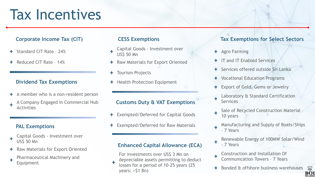### Tax Incentives

### **Corporate Income Tax (CIT)**

- Standard CIT Rate 24%
- Reduced CIT Rate 14%

### **Dividend Tax Exemptions**

A member who is a non-resident person ÷. A Company Engaged in Commercial Hub Activities

### **PAL Exemptions**

- Capital Goods Investment over US\$ 50 Mn
- Raw Materials for Export Oriented
- Pharmaceutical Machinery and Equipment

#### **CESS Exemptions**

- Capital Goods Investment over US\$ 50 Mn
- + Raw Materials for Export Oriented
- Tourism Projects ÷.
- + Health Protection Equipment

#### **Customs Duty & VAT Exemptions**

- Exempted/Deferred for Capital Goods
- Exempted/Deferred for Raw Materials

#### **Enhanced Capital Allowance (ECA)**

For investments over US\$ 3 Mn on depreciable assets permitting to deduct losses for a period of 10-25 years (25 years: >\$1 Bn)

### **Tax Exemptions for Select Sectors**

- ÷. Agro Farming
- IT and IT Enabled Services
- **+ Services offered outside Sri Lanka**
- Vocational Education Programs
- Export of Gold, Gems or Jewelry
- Laboratory & Standard Certification **Services**
- Sale of Recycled Construction Material 10 years
- Manufacturing and Supply of Boats/Ships – 7 Years
- Renewable Energy of 100MW Solar/Wind – 7 Years
- Construction and Installation Of Communication Towers – 7 Years
- Bonded & offshore business warehouses

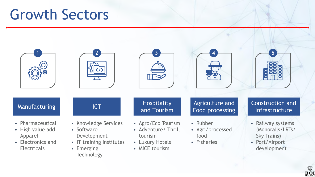### Growth Sectors



### BO.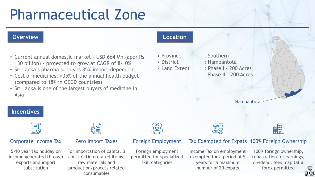## Pharmaceutical Zone

#### **Overview Location**

- Current annual domestic market USD 664 Mn (appr Rs 130 billion) - projected to grow at CAGR of 8-10%
- Sri Lanka's pharma supply is 85% import-dependent
- Cost of medicines: >35% of the annual health budget (compared to 18% in OECD countries)
- Sri Lanka is one of the largest buyers of medicine in Asia

- 
- 
- 
- Province : Southern
- District : Hambantota
- Land Extent : Phase I 200 Acres
	- Phase II 200 Acres

Hambantota

### **Incentives**



### Corporate Income Tax

5-10 year tax holiday on income generated through exports and import substitution



#### Zero Import Taxes

For importation of capital & construction related items, raw materials and production/process related consumables



#### Foreign Employment

Foreign employment permitted for specialized skill categories

#### Tax Exempted for Expats 100% Foreign Ownership

Income Tax on employment exempted for a period of 5 years for a maximum number of 20 expats

100% foreign ownership, repatriation for earnings, dividend, fees, capital & forex permitted

**<u>Mes</u>** 

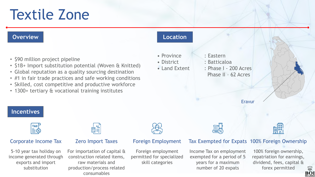### Textile Zone

#### **Overview Location** • Province : Eastern • \$90 million project pipeline • District : Batticaloa • \$1B+ Import substitution potential (Woven & Knitted) • Land Extent : Phase I - 200 Acres • Global reputation as a quality sourcing destination Phase II – 62 Acres • #1 in fair trade practices and safe working conditions • Skilled, cost competitive and productive workforce • 1300+ tertiary & vocational training institutesEravur **Incentives Head** —<br>開≦ | Corporate Income Tax Zero Import Taxes Foreign Employment Tax Exempted for Expats 100% Foreign Ownership 5-10 year tax holiday on For importation of capital & Foreign employment Income Tax on employment 100% foreign ownership, construction related items, permitted for specialized exempted for a period of 5 income generated through repatriation for earnings, exports and import raw materials and skill categories years for a maximum dividend, fees, capital & substitution number of 20 expats forex permitted production/process related

consumables

### BŐl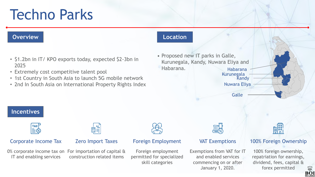## Techno Parks

#### **Overview Location**

- \$1.2bn in IT/ KPO exports today, expected \$2-3bn in 2025
- Extremely cost competitive talent pool
- 1st Country in South Asia to launch 5G mobile network
- 2nd In South Asia on International Property Rights Index

• Proposed new IT parks in Galle, Kurunegala, Kandy, Nuwara Eliya and Habarana. Kurunegala Habarana

> Nuwara Eliya **Kandy**

> > **Galle**



100% Foreign Ownership

100% foreign ownership, repatriation for earnings, dividend, fees, capital & forex permitted



**Incentives**

Corporate Income Tax

 $\frac{1}{\mathbb{E}}\mathbb{E}$ 

#### Zero Import Taxes

0% corporate income tax on For importation of capital & IT and enabling services construction related items

#### Foreign Employment

Foreign employment permitted for specialized skill categories

VAT Exemptions

Exemptions from VAT for IT and enabled services commencing on or after January 1, 2020.